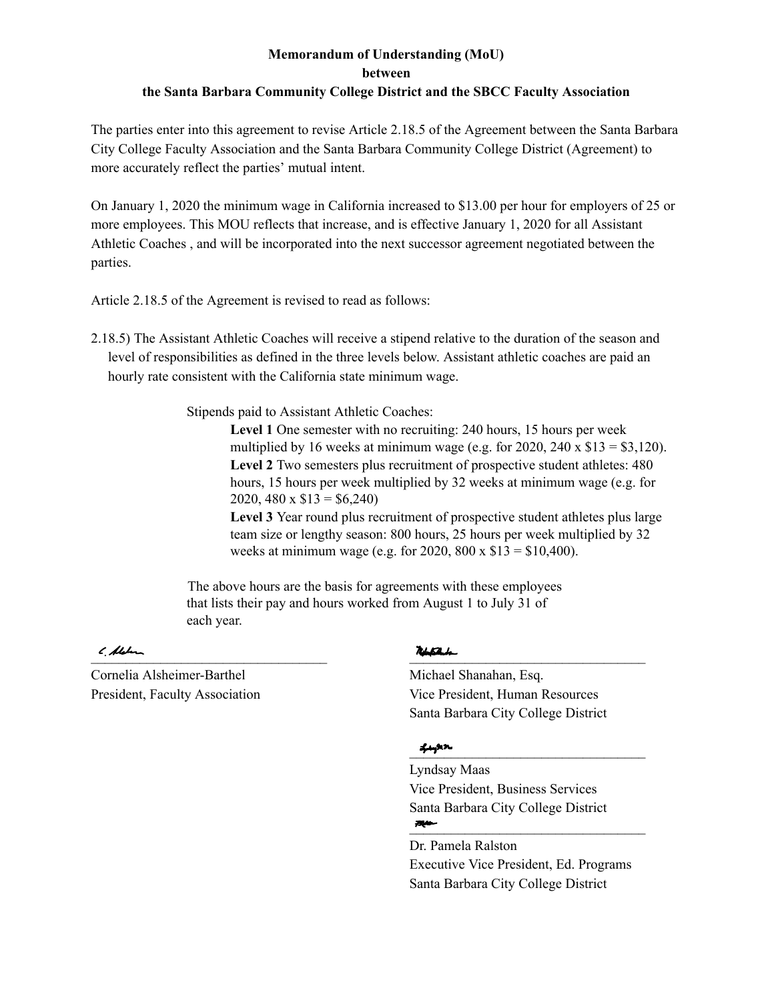### **Memorandum of Understanding (MoU) between the Santa Barbara Community College District and the SBCC Faculty Association**

The parties enter into this agreement to revise Article 2.18.5 of the Agreement between the Santa Barbara City College Faculty Association and the Santa Barbara Community College District (Agreement) to more accurately reflect the parties' mutual intent.

On January 1, 2020 the minimum wage in California increased to \$13.00 per hour for employers of 25 or more employees. This MOU reflects that increase, and is effective January 1, 2020 for all Assistant Athletic Coaches , and will be incorporated into the next successor agreement negotiated between the parties.

Article 2.18.5 of the Agreement is revised to read as follows:

2.18.5) The Assistant Athletic Coaches will receive a stipend relative to the duration of the season and level of responsibilities as defined in the three levels below. Assistant athletic coaches are paid an hourly rate consistent with the California state minimum wage.

Stipends paid to Assistant Athletic Coaches:

**Level 1** One semester with no recruiting: 240 hours, 15 hours per week multiplied by 16 weeks at minimum wage (e.g. for 2020, 240 x  $$13 = $3,120$ ). **Level 2** Two semesters plus recruitment of prospective student athletes: 480 hours, 15 hours per week multiplied by 32 weeks at minimum wage (e.g. for 2020, 480 x  $$13 = $6,240$ 

**Level 3** Year round plus recruitment of prospective student athletes plus large team size or lengthy season: 800 hours, 25 hours per week multiplied by 32 weeks at minimum wage (e.g. for 2020, 800 x \$13 = \$10,400).

The above hours are the basis for agreements with these employees that lists their pay and hours worked from August 1 to July 31 of each year.

c platter and the contract of the contract of the contract of the contract of the contract of the contract of the contract of the contract of the contract of the contract of the contract of the contract of the contract of

Cornelia Alsheimer-Barthel Michael Shanahan, Esq.

President, Faculty Association Vice President, Human Resources Santa Barbara City College District

### $\frac{1}{2}$  is a sequence of  $\frac{1}{2}$  and  $\frac{1}{2}$  are  $\frac{1}{2}$  and  $\frac{1}{2}$  and  $\frac{1}{2}$  are  $\frac{1}{2}$  and  $\frac{1}{2}$  and  $\frac{1}{2}$  are  $\frac{1}{2}$  and  $\frac{1}{2}$  and  $\frac{1}{2}$  and  $\frac{1}{2}$  and  $\frac{1}{2}$  and  $\frac{1}{2}$  an

Lyndsay Maas Vice President, Business Services Santa Barbara City College District  $\overline{E}$  , and the contract of the contract of the contract of the contract of the contract of the contract of the contract of the contract of the contract of the contract of the contract of the contract of the contract o

Dr. Pamela Ralston Executive Vice President, Ed. Programs Santa Barbara City College District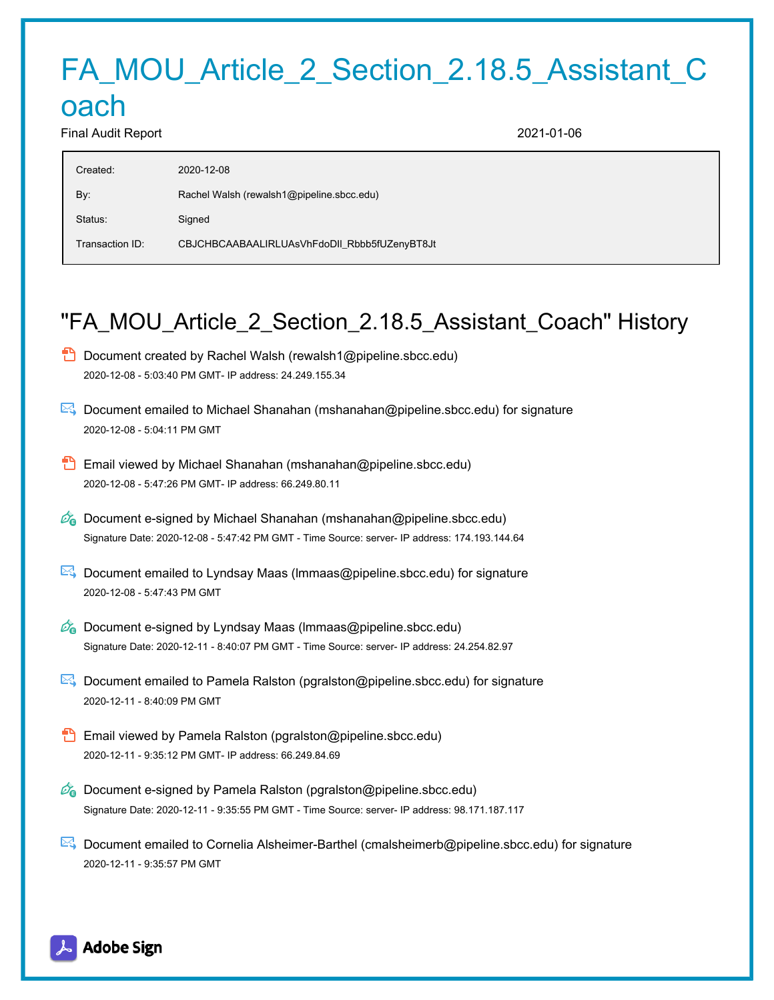# FA\_MOU\_Article\_2\_Section\_2.18.5\_Assistant\_C

# oach

Final Audit Report 2021-01-06

| Rachel Walsh (rewalsh1@pipeline.sbcc.edu)<br>By:<br>Status:<br>Signed<br>CBJCHBCAABAALIRLUAsVhFdoDII_Rbbb5fUZenyBT8Jt<br>Transaction ID: | Created: | 2020-12-08 |
|------------------------------------------------------------------------------------------------------------------------------------------|----------|------------|
|                                                                                                                                          |          |            |
|                                                                                                                                          |          |            |
|                                                                                                                                          |          |            |

## "FA\_MOU\_Article\_2\_Section\_2.18.5\_Assistant\_Coach" History

- **D** Document created by Rachel Walsh (rewalsh1@pipeline.sbcc.edu) 2020-12-08 - 5:03:40 PM GMT- IP address: 24.249.155.34
- Document emailed to Michael Shanahan (mshanahan@pipeline.sbcc.edu) for signature 2020-12-08 - 5:04:11 PM GMT
- Email viewed by Michael Shanahan (mshanahan@pipeline.sbcc.edu) 2020-12-08 - 5:47:26 PM GMT- IP address: 66.249.80.11
- $\mathcal{O}_0$  Document e-signed by Michael Shanahan (mshanahan@pipeline.sbcc.edu) Signature Date: 2020-12-08 - 5:47:42 PM GMT - Time Source: server- IP address: 174.193.144.64
- $\mathbb{E}$  Document emailed to Lyndsay Maas (Immaas@pipeline.sbcc.edu) for signature 2020-12-08 - 5:47:43 PM GMT
- $\mathscr{O}_\bullet$  Document e-signed by Lyndsay Maas (Immaas@pipeline.sbcc.edu) Signature Date: 2020-12-11 - 8:40:07 PM GMT - Time Source: server- IP address: 24.254.82.97
- Document emailed to Pamela Ralston (pgralston@pipeline.sbcc.edu) for signature 2020-12-11 - 8:40:09 PM GMT
- Email viewed by Pamela Ralston (pgralston@pipeline.sbcc.edu) 2020-12-11 - 9:35:12 PM GMT- IP address: 66.249.84.69
- $\mathscr{O}_0$  Document e-signed by Pamela Ralston (pgralston@pipeline.sbcc.edu) Signature Date: 2020-12-11 - 9:35:55 PM GMT - Time Source: server- IP address: 98.171.187.117
- Document emailed to Cornelia Alsheimer-Barthel (cmalsheimerb@pipeline.sbcc.edu) for signature 2020-12-11 - 9:35:57 PM GMT

Adobe Sign